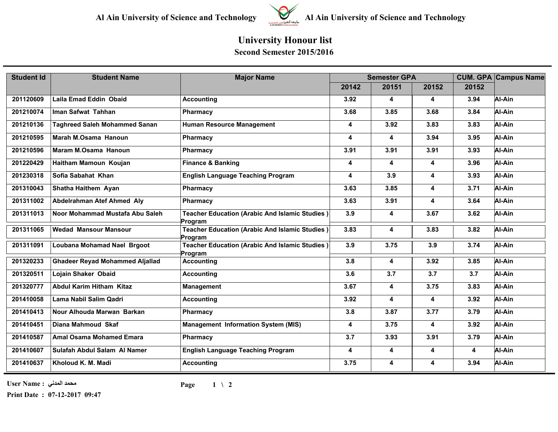

## **Al Ain University of Science and Technology Al Ain University of Science and Technology**

## **University Honour list Second Semester 2015/2016**

| <b>Student Id</b> | <b>Student Name</b>                    | <b>Major Name</b>                                                | <b>Semester GPA</b>     |       |                         |       | <b>CUM. GPA Campus Name</b> |
|-------------------|----------------------------------------|------------------------------------------------------------------|-------------------------|-------|-------------------------|-------|-----------------------------|
|                   |                                        |                                                                  | 20142                   | 20151 | 20152                   | 20152 |                             |
| 201120609         | Laila Emad Eddin Obaid                 | <b>Accounting</b>                                                | 3.92                    | 4     | 4                       | 3.94  | Al-Ain                      |
| 201210074         | Iman Safwat Tahhan                     | Pharmacy                                                         | 3.68                    | 3.85  | 3.68                    | 3.84  | Al-Ain                      |
| 201210136         | <b>Taghreed Saleh Mohammed Sanan</b>   | <b>Human Resource Management</b>                                 | 4                       | 3.92  | 3.83                    | 3.83  | Al-Ain                      |
| 201210595         | Marah M.Osama Hanoun                   | <b>Pharmacy</b>                                                  | 4                       | 4     | 3.94                    | 3.95  | Al-Ain                      |
| 201210596         | Maram M.Osama Hanoun                   | Pharmacy                                                         | 3.91                    | 3.91  | 3.91                    | 3.93  | Al-Ain                      |
| 201220429         | Haitham Mamoun Koujan                  | <b>Finance &amp; Banking</b>                                     | $\overline{\mathbf{4}}$ | 4     | $\overline{\mathbf{4}}$ | 3.96  | Al-Ain                      |
| 201230318         | Sofia Sabahat Khan                     | <b>English Language Teaching Program</b>                         | $\overline{\mathbf{4}}$ | 3.9   | 4                       | 3.93  | Al-Ain                      |
| 201310043         | Shatha Haithem Ayan                    | Pharmacy                                                         | 3.63                    | 3.85  | 4                       | 3.71  | Al-Ain                      |
| 201311002         | Abdelrahman Atef Ahmed Aly             | Pharmacy                                                         | 3.63                    | 3.91  | 4                       | 3.64  | Al-Ain                      |
| 201311013         | Noor Mohammad Mustafa Abu Saleh        | <b>Teacher Education (Arabic And Islamic Studies)</b><br>Program | 3.9                     | 4     | 3.67                    | 3.62  | Al-Ain                      |
| 201311065         | <b>Wedad Mansour Mansour</b>           | <b>Teacher Education (Arabic And Islamic Studies)</b><br>Program | 3.83                    | 4     | 3.83                    | 3.82  | Al-Ain                      |
| 201311091         | Loubana Mohamad Nael Brgoot            | <b>Teacher Education (Arabic And Islamic Studies)</b><br>Program | 3.9                     | 3.75  | 3.9                     | 3.74  | Al-Ain                      |
| 201320233         | <b>Ghadeer Reyad Mohammed Aljallad</b> | <b>Accounting</b>                                                | 3.8                     | 4     | 3.92                    | 3.85  | Al-Ain                      |
| 201320511         | Lojain Shaker Obaid                    | <b>Accounting</b>                                                | 3.6                     | 3.7   | 3.7                     | 3.7   | Al-Ain                      |
| 201320777         | <b>Abdul Karim Hitham Kitaz</b>        | <b>Management</b>                                                | 3.67                    | 4     | 3.75                    | 3.83  | Al-Ain                      |
| 201410058         | Lama Nabil Salim Qadri                 | <b>Accounting</b>                                                | 3.92                    | 4     | $\overline{\mathbf{4}}$ | 3.92  | Al-Ain                      |
| 201410413         | Nour Alhouda Marwan Barkan             | Pharmacy                                                         | 3.8                     | 3.87  | 3.77                    | 3.79  | Al-Ain                      |
| 201410451         | Diana Mahmoud Skaf                     | <b>Management Information System (MIS)</b>                       | 4                       | 3.75  | 4                       | 3.92  | Al-Ain                      |
| 201410587         | <b>Amal Osama Mohamed Emara</b>        | Pharmacy                                                         | 3.7                     | 3.93  | 3.91                    | 3.79  | Al-Ain                      |
| 201410607         | Sulafah Abdul Salam Al Namer           | <b>English Language Teaching Program</b>                         | 4                       | 4     | 4                       | 4     | Al-Ain                      |
| 201410637         | Kholoud K. M. Madi                     | <b>Accounting</b>                                                | 3.75                    | 4     | 4                       | 3.94  | Al-Ain                      |

**محمد المدني : Name User**

**Print Date : 07-12-2017 09:47**